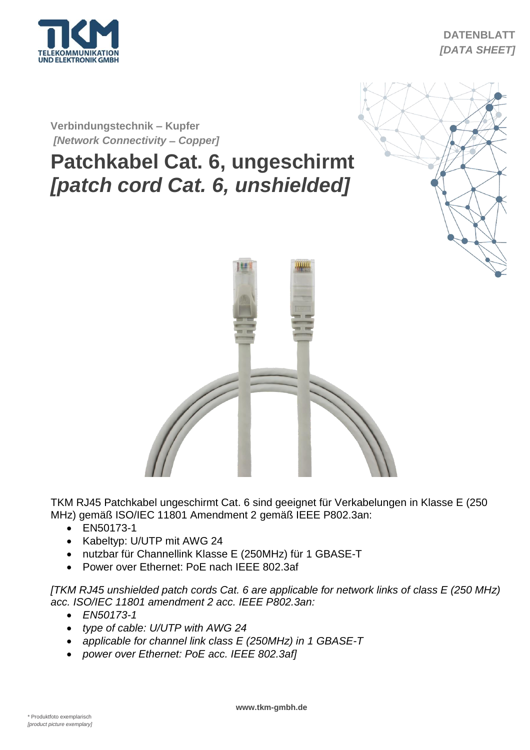

## **DATENBLATT** *[DATA SHEET]*

**Verbindungstechnik – Kupfer** *[Network Connectivity* **–** *Copper]*

## **Patchkabel Cat. 6, ungeschirmt** *[patch cord Cat. 6, unshielded]*





TKM RJ45 Patchkabel ungeschirmt Cat. 6 sind geeignet für Verkabelungen in Klasse E (250 MHz) gemäß ISO/IEC 11801 Amendment 2 gemäß IEEE P802.3an:

- EN50173-1
- Kabeltyp: U/UTP mit AWG 24
- nutzbar für Channellink Klasse E (250MHz) für 1 GBASE-T
- Power over Ethernet: PoE nach IEEE 802.3af

*[TKM RJ45 unshielded patch cords Cat. 6 are applicable for network links of class E (250 MHz) acc. ISO/IEC 11801 amendment 2 acc. IEEE P802.3an:*

- *EN50173-1*
- *type of cable: U/UTP with AWG 24*
- *applicable for channel link class E (250MHz) in 1 GBASE-T*
- *power over Ethernet: PoE acc. IEEE 802.3af]*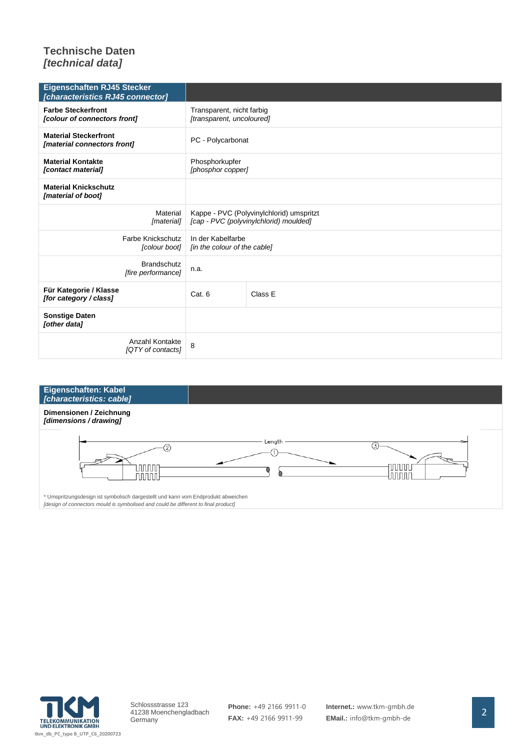## **Technische Daten** *[technical data]*

| <b>Eigenschaften RJ45 Stecker</b><br>[characteristics RJ45 connector] |                                                                                    |         |  |
|-----------------------------------------------------------------------|------------------------------------------------------------------------------------|---------|--|
| <b>Farbe Steckerfront</b><br>[colour of connectors front]             | Transparent, nicht farbig<br>[transparent, uncoloured]                             |         |  |
| <b>Material Steckerfront</b><br>[material connectors front]           | PC - Polycarbonat                                                                  |         |  |
| <b>Material Kontakte</b><br>[contact material]                        | Phosphorkupfer<br>[phosphor copper]                                                |         |  |
| <b>Material Knickschutz</b><br>[material of boot]                     |                                                                                    |         |  |
| Material<br>[material]                                                | Kappe - PVC (Polyvinylchlorid) umspritzt<br>[cap - PVC (polyvinylchlorid) moulded] |         |  |
| <b>Farbe Knickschutz</b><br>[colour boot]                             | In der Kabelfarbe<br>[in the colour of the cable]                                  |         |  |
| <b>Brandschutz</b><br>[fire performance]                              | n.a.                                                                               |         |  |
| Für Kategorie / Klasse<br>[for category / class]                      | Cat. 6                                                                             | Class E |  |
| <b>Sonstige Daten</b><br>[other data]                                 |                                                                                    |         |  |
| Anzahl Kontakte<br>[QTY of contacts]                                  | 8                                                                                  |         |  |